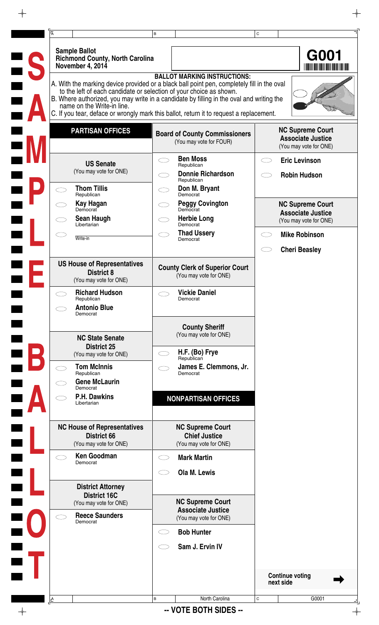|                                                                                                   | B |                                                                                                                                                                                                                                                                                                                          | C |                                                                               |
|---------------------------------------------------------------------------------------------------|---|--------------------------------------------------------------------------------------------------------------------------------------------------------------------------------------------------------------------------------------------------------------------------------------------------------------------------|---|-------------------------------------------------------------------------------|
| <b>Sample Ballot</b><br><b>Richmond County, North Carolina</b><br>November 4, 2014                |   |                                                                                                                                                                                                                                                                                                                          |   | G001                                                                          |
| to the left of each candidate or selection of your choice as shown.<br>name on the Write-in line. |   | <b>BALLOT MARKING INSTRUCTIONS:</b><br>A. With the marking device provided or a black ball point pen, completely fill in the oval<br>B. Where authorized, you may write in a candidate by filling in the oval and writing the<br>C. If you tear, deface or wrongly mark this ballot, return it to request a replacement. |   |                                                                               |
| <b>PARTISAN OFFICES</b>                                                                           |   | <b>Board of County Commissioners</b><br>(You may vote for FOUR)                                                                                                                                                                                                                                                          |   | <b>NC Supreme Court</b><br><b>Associate Justice</b><br>(You may vote for ONE) |
| <b>US Senate</b><br>(You may vote for ONE)                                                        |   | <b>Ben Moss</b><br>Republican<br><b>Donnie Richardson</b>                                                                                                                                                                                                                                                                |   | <b>Eric Levinson</b><br><b>Robin Hudson</b>                                   |
| <b>Thom Tillis</b>                                                                                |   | Republican<br>Don M. Bryant                                                                                                                                                                                                                                                                                              |   |                                                                               |
| Republican<br>Kay Hagan<br>Democrat                                                               |   | Democrat<br><b>Peggy Covington</b><br>Democrat                                                                                                                                                                                                                                                                           |   | <b>NC Supreme Court</b>                                                       |
| <b>Sean Haugh</b><br>Libertarian                                                                  |   | <b>Herbie Long</b><br>Democrat                                                                                                                                                                                                                                                                                           |   | <b>Associate Justice</b><br>(You may vote for ONE)                            |
| Write-in                                                                                          |   | <b>Thad Ussery</b><br>Democrat                                                                                                                                                                                                                                                                                           |   | <b>Mike Robinson</b>                                                          |
|                                                                                                   |   |                                                                                                                                                                                                                                                                                                                          |   | <b>Cheri Beasley</b>                                                          |
| <b>US House of Representatives</b><br><b>District 8</b><br>(You may vote for ONE)                 |   | <b>County Clerk of Superior Court</b><br>(You may vote for ONE)                                                                                                                                                                                                                                                          |   |                                                                               |
| <b>Richard Hudson</b><br>Republican                                                               |   | <b>Vickie Daniel</b><br>Democrat                                                                                                                                                                                                                                                                                         |   |                                                                               |
| <b>Antonio Blue</b><br>Democrat                                                                   |   |                                                                                                                                                                                                                                                                                                                          |   |                                                                               |
| <b>NC State Senate</b><br><b>District 25</b>                                                      |   | <b>County Sheriff</b><br>(You may vote for ONE)                                                                                                                                                                                                                                                                          |   |                                                                               |
| (You may vote for ONE)                                                                            |   | H.F. (Bo) Frye<br>Republican                                                                                                                                                                                                                                                                                             |   |                                                                               |
| <b>Tom McInnis</b><br>Republican<br><b>Gene McLaurin</b><br>Democrat                              |   | James E. Clemmons, Jr.<br>Democrat                                                                                                                                                                                                                                                                                       |   |                                                                               |
| <b>P.H. Dawkins</b><br>Libertarian                                                                |   | <b>NONPARTISAN OFFICES</b>                                                                                                                                                                                                                                                                                               |   |                                                                               |
| <b>NC House of Representatives</b><br><b>District 66</b><br>(You may vote for ONE)                |   | <b>NC Supreme Court</b><br><b>Chief Justice</b><br>(You may vote for ONE)                                                                                                                                                                                                                                                |   |                                                                               |
| <b>Ken Goodman</b><br>Democrat                                                                    |   | <b>Mark Martin</b>                                                                                                                                                                                                                                                                                                       |   |                                                                               |
|                                                                                                   |   | Ola M. Lewis                                                                                                                                                                                                                                                                                                             |   |                                                                               |
| <b>District Attorney</b><br><b>District 16C</b>                                                   |   |                                                                                                                                                                                                                                                                                                                          |   |                                                                               |
| (You may vote for ONE)<br><b>Reece Saunders</b><br>Democrat                                       |   | <b>NC Supreme Court</b><br><b>Associate Justice</b><br>(You may vote for ONE)                                                                                                                                                                                                                                            |   |                                                                               |
|                                                                                                   |   | <b>Bob Hunter</b>                                                                                                                                                                                                                                                                                                        |   |                                                                               |
|                                                                                                   |   | Sam J. Ervin IV                                                                                                                                                                                                                                                                                                          |   |                                                                               |
|                                                                                                   |   |                                                                                                                                                                                                                                                                                                                          |   |                                                                               |
|                                                                                                   |   |                                                                                                                                                                                                                                                                                                                          |   | <b>Continue voting</b><br>next side                                           |

 $\rightarrow$ 

 $\frac{1}{\sqrt{2}}$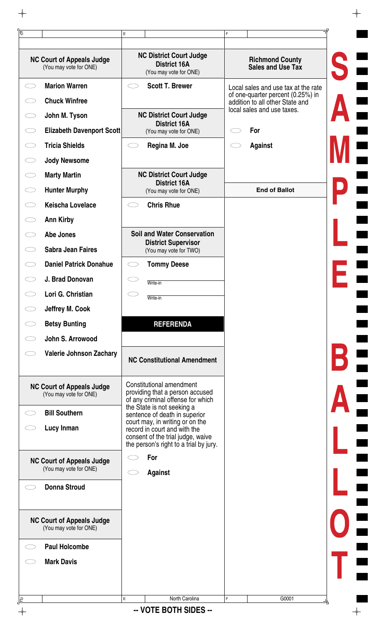| <b>Marion Warren</b><br><b>Scott T. Brewer</b><br>Ο<br>Local sales and use tax at the rate<br>of one-quarter percent (0.25%) in<br><b>Chuck Winfree</b><br>addition to all other State and<br>local sales and use taxes.<br><b>NC District Court Judge</b><br>John M. Tyson<br><b>District 16A</b><br><b>Elizabeth Davenport Scott</b><br>For<br>(You may vote for ONE)<br><b>Tricia Shields</b><br>Regina M. Joe<br><b>Against</b><br><b>Jody Newsome</b><br><b>NC District Court Judge</b><br><b>Marty Martin</b><br><b>District 16A</b><br><b>Hunter Murphy</b><br><b>End of Ballot</b><br>くつ<br>(You may vote for ONE)<br><b>Keischa Lovelace</b><br><b>Chris Rhue</b><br><b>Ann Kirby</b><br><b>Soil and Water Conservation</b><br>Abe Jones<br><b>District Supervisor</b><br><b>Sabra Jean Faires</b><br>(You may vote for TWO)<br><b>Daniel Patrick Donahue</b><br><b>Tommy Deese</b><br>J. Brad Donovan<br>Write-in<br>Lori G. Christian<br>Write-in<br>Jeffrey M. Cook<br><b>Betsy Bunting</b><br><b>REFERENDA</b><br>John S. Arrowood<br><b>Valerie Johnson Zachary</b><br><b>NC Constitutional Amendment</b><br>Constitutional amendment<br><b>NC Court of Appeals Judge</b><br>providing that a person accused<br>(You may vote for ONE)<br>of any criminal offense for which<br>the State is not seeking a<br><b>Bill Southern</b><br>sentence of death in superior<br>court may, in writing or on the<br>Lucy Inman<br>record in court and with the<br>consent of the trial judge, waive<br>the person's right to a trial by jury.<br>For<br><b>NC Court of Appeals Judge</b><br>(You may vote for ONE)<br><b>Against</b><br><b>Donna Stroud</b><br><b>NC Court of Appeals Judge</b><br>(You may vote for ONE)<br><b>Paul Holcombe</b><br><b>Mark Davis</b> | <b>NC Court of Appeals Judge</b><br>(You may vote for ONE) | <b>NC District Court Judge</b><br><b>District 16A</b><br>(You may vote for ONE) | <b>Richmond County</b><br>Sales and Use Tax |
|---------------------------------------------------------------------------------------------------------------------------------------------------------------------------------------------------------------------------------------------------------------------------------------------------------------------------------------------------------------------------------------------------------------------------------------------------------------------------------------------------------------------------------------------------------------------------------------------------------------------------------------------------------------------------------------------------------------------------------------------------------------------------------------------------------------------------------------------------------------------------------------------------------------------------------------------------------------------------------------------------------------------------------------------------------------------------------------------------------------------------------------------------------------------------------------------------------------------------------------------------------------------------------------------------------------------------------------------------------------------------------------------------------------------------------------------------------------------------------------------------------------------------------------------------------------------------------------------------------------------------------------------------------------------------------------------------------------------------------------------------------------------------|------------------------------------------------------------|---------------------------------------------------------------------------------|---------------------------------------------|
|                                                                                                                                                                                                                                                                                                                                                                                                                                                                                                                                                                                                                                                                                                                                                                                                                                                                                                                                                                                                                                                                                                                                                                                                                                                                                                                                                                                                                                                                                                                                                                                                                                                                                                                                                                           |                                                            |                                                                                 |                                             |
|                                                                                                                                                                                                                                                                                                                                                                                                                                                                                                                                                                                                                                                                                                                                                                                                                                                                                                                                                                                                                                                                                                                                                                                                                                                                                                                                                                                                                                                                                                                                                                                                                                                                                                                                                                           |                                                            |                                                                                 |                                             |
|                                                                                                                                                                                                                                                                                                                                                                                                                                                                                                                                                                                                                                                                                                                                                                                                                                                                                                                                                                                                                                                                                                                                                                                                                                                                                                                                                                                                                                                                                                                                                                                                                                                                                                                                                                           |                                                            |                                                                                 |                                             |
|                                                                                                                                                                                                                                                                                                                                                                                                                                                                                                                                                                                                                                                                                                                                                                                                                                                                                                                                                                                                                                                                                                                                                                                                                                                                                                                                                                                                                                                                                                                                                                                                                                                                                                                                                                           |                                                            |                                                                                 |                                             |
|                                                                                                                                                                                                                                                                                                                                                                                                                                                                                                                                                                                                                                                                                                                                                                                                                                                                                                                                                                                                                                                                                                                                                                                                                                                                                                                                                                                                                                                                                                                                                                                                                                                                                                                                                                           |                                                            |                                                                                 |                                             |
|                                                                                                                                                                                                                                                                                                                                                                                                                                                                                                                                                                                                                                                                                                                                                                                                                                                                                                                                                                                                                                                                                                                                                                                                                                                                                                                                                                                                                                                                                                                                                                                                                                                                                                                                                                           |                                                            |                                                                                 |                                             |
|                                                                                                                                                                                                                                                                                                                                                                                                                                                                                                                                                                                                                                                                                                                                                                                                                                                                                                                                                                                                                                                                                                                                                                                                                                                                                                                                                                                                                                                                                                                                                                                                                                                                                                                                                                           |                                                            |                                                                                 |                                             |
|                                                                                                                                                                                                                                                                                                                                                                                                                                                                                                                                                                                                                                                                                                                                                                                                                                                                                                                                                                                                                                                                                                                                                                                                                                                                                                                                                                                                                                                                                                                                                                                                                                                                                                                                                                           |                                                            |                                                                                 |                                             |
|                                                                                                                                                                                                                                                                                                                                                                                                                                                                                                                                                                                                                                                                                                                                                                                                                                                                                                                                                                                                                                                                                                                                                                                                                                                                                                                                                                                                                                                                                                                                                                                                                                                                                                                                                                           |                                                            |                                                                                 |                                             |
|                                                                                                                                                                                                                                                                                                                                                                                                                                                                                                                                                                                                                                                                                                                                                                                                                                                                                                                                                                                                                                                                                                                                                                                                                                                                                                                                                                                                                                                                                                                                                                                                                                                                                                                                                                           |                                                            |                                                                                 |                                             |
|                                                                                                                                                                                                                                                                                                                                                                                                                                                                                                                                                                                                                                                                                                                                                                                                                                                                                                                                                                                                                                                                                                                                                                                                                                                                                                                                                                                                                                                                                                                                                                                                                                                                                                                                                                           |                                                            |                                                                                 |                                             |
|                                                                                                                                                                                                                                                                                                                                                                                                                                                                                                                                                                                                                                                                                                                                                                                                                                                                                                                                                                                                                                                                                                                                                                                                                                                                                                                                                                                                                                                                                                                                                                                                                                                                                                                                                                           |                                                            |                                                                                 |                                             |
|                                                                                                                                                                                                                                                                                                                                                                                                                                                                                                                                                                                                                                                                                                                                                                                                                                                                                                                                                                                                                                                                                                                                                                                                                                                                                                                                                                                                                                                                                                                                                                                                                                                                                                                                                                           |                                                            |                                                                                 |                                             |
|                                                                                                                                                                                                                                                                                                                                                                                                                                                                                                                                                                                                                                                                                                                                                                                                                                                                                                                                                                                                                                                                                                                                                                                                                                                                                                                                                                                                                                                                                                                                                                                                                                                                                                                                                                           |                                                            |                                                                                 |                                             |
|                                                                                                                                                                                                                                                                                                                                                                                                                                                                                                                                                                                                                                                                                                                                                                                                                                                                                                                                                                                                                                                                                                                                                                                                                                                                                                                                                                                                                                                                                                                                                                                                                                                                                                                                                                           |                                                            |                                                                                 |                                             |
|                                                                                                                                                                                                                                                                                                                                                                                                                                                                                                                                                                                                                                                                                                                                                                                                                                                                                                                                                                                                                                                                                                                                                                                                                                                                                                                                                                                                                                                                                                                                                                                                                                                                                                                                                                           |                                                            |                                                                                 |                                             |
|                                                                                                                                                                                                                                                                                                                                                                                                                                                                                                                                                                                                                                                                                                                                                                                                                                                                                                                                                                                                                                                                                                                                                                                                                                                                                                                                                                                                                                                                                                                                                                                                                                                                                                                                                                           |                                                            |                                                                                 |                                             |
|                                                                                                                                                                                                                                                                                                                                                                                                                                                                                                                                                                                                                                                                                                                                                                                                                                                                                                                                                                                                                                                                                                                                                                                                                                                                                                                                                                                                                                                                                                                                                                                                                                                                                                                                                                           |                                                            |                                                                                 |                                             |
|                                                                                                                                                                                                                                                                                                                                                                                                                                                                                                                                                                                                                                                                                                                                                                                                                                                                                                                                                                                                                                                                                                                                                                                                                                                                                                                                                                                                                                                                                                                                                                                                                                                                                                                                                                           |                                                            |                                                                                 |                                             |
|                                                                                                                                                                                                                                                                                                                                                                                                                                                                                                                                                                                                                                                                                                                                                                                                                                                                                                                                                                                                                                                                                                                                                                                                                                                                                                                                                                                                                                                                                                                                                                                                                                                                                                                                                                           |                                                            |                                                                                 |                                             |
|                                                                                                                                                                                                                                                                                                                                                                                                                                                                                                                                                                                                                                                                                                                                                                                                                                                                                                                                                                                                                                                                                                                                                                                                                                                                                                                                                                                                                                                                                                                                                                                                                                                                                                                                                                           |                                                            |                                                                                 |                                             |
|                                                                                                                                                                                                                                                                                                                                                                                                                                                                                                                                                                                                                                                                                                                                                                                                                                                                                                                                                                                                                                                                                                                                                                                                                                                                                                                                                                                                                                                                                                                                                                                                                                                                                                                                                                           |                                                            |                                                                                 |                                             |
|                                                                                                                                                                                                                                                                                                                                                                                                                                                                                                                                                                                                                                                                                                                                                                                                                                                                                                                                                                                                                                                                                                                                                                                                                                                                                                                                                                                                                                                                                                                                                                                                                                                                                                                                                                           |                                                            |                                                                                 |                                             |
|                                                                                                                                                                                                                                                                                                                                                                                                                                                                                                                                                                                                                                                                                                                                                                                                                                                                                                                                                                                                                                                                                                                                                                                                                                                                                                                                                                                                                                                                                                                                                                                                                                                                                                                                                                           |                                                            |                                                                                 |                                             |
|                                                                                                                                                                                                                                                                                                                                                                                                                                                                                                                                                                                                                                                                                                                                                                                                                                                                                                                                                                                                                                                                                                                                                                                                                                                                                                                                                                                                                                                                                                                                                                                                                                                                                                                                                                           |                                                            |                                                                                 |                                             |
|                                                                                                                                                                                                                                                                                                                                                                                                                                                                                                                                                                                                                                                                                                                                                                                                                                                                                                                                                                                                                                                                                                                                                                                                                                                                                                                                                                                                                                                                                                                                                                                                                                                                                                                                                                           |                                                            |                                                                                 |                                             |
|                                                                                                                                                                                                                                                                                                                                                                                                                                                                                                                                                                                                                                                                                                                                                                                                                                                                                                                                                                                                                                                                                                                                                                                                                                                                                                                                                                                                                                                                                                                                                                                                                                                                                                                                                                           |                                                            |                                                                                 |                                             |
|                                                                                                                                                                                                                                                                                                                                                                                                                                                                                                                                                                                                                                                                                                                                                                                                                                                                                                                                                                                                                                                                                                                                                                                                                                                                                                                                                                                                                                                                                                                                                                                                                                                                                                                                                                           |                                                            |                                                                                 |                                             |

 $\rightarrow$ 

 $\phi$ -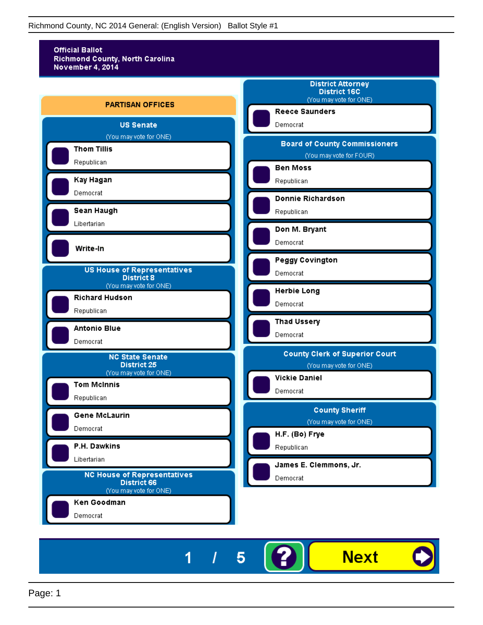

5

I

1

**Next**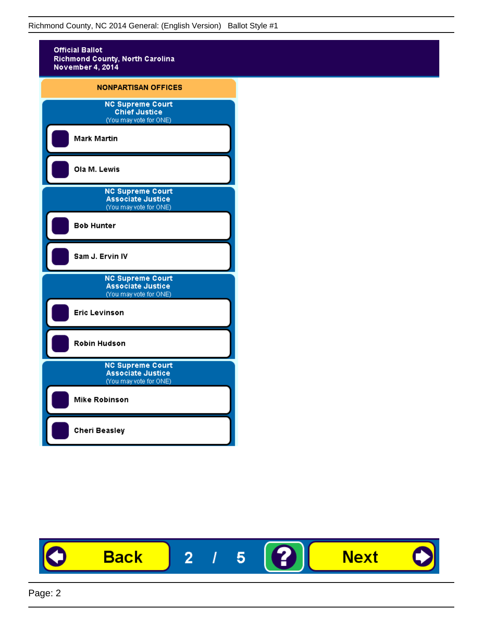

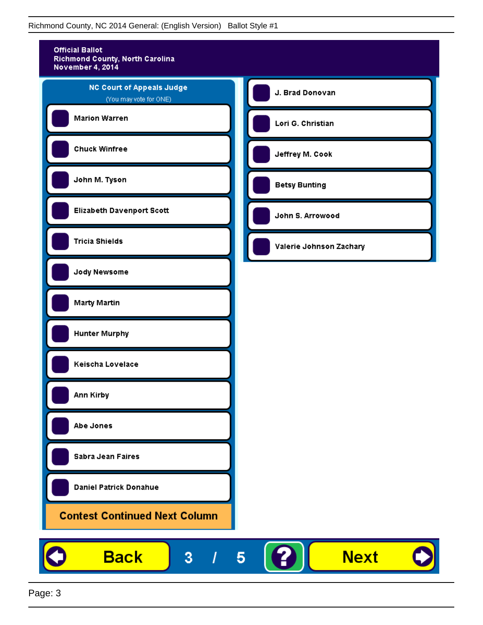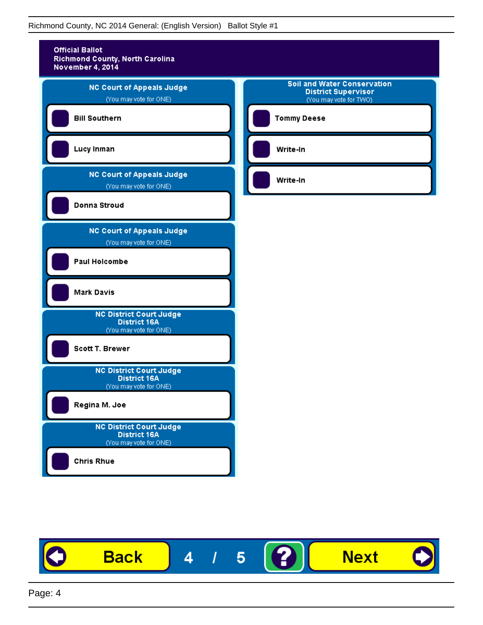